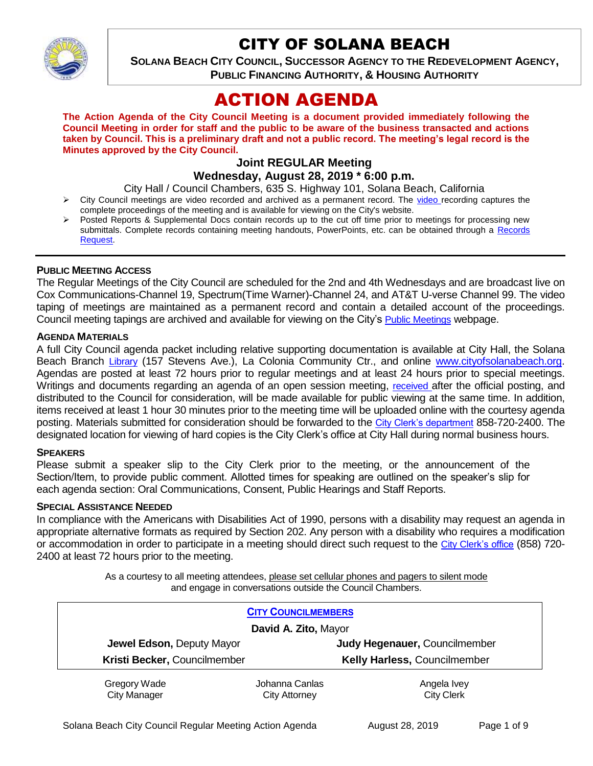

# CITY OF SOLANA BEACH

**SOLANA BEACH CITY COUNCIL, SUCCESSOR AGENCY TO THE REDEVELOPMENT AGENCY, PUBLIC FINANCING AUTHORITY, & HOUSING AUTHORITY** 

# ACTION AGENDA

**The Action Agenda of the City Council Meeting is a document provided immediately following the Council Meeting in order for staff and the public to be aware of the business transacted and actions taken by Council. This is a preliminary draft and not a public record. The meeting's legal record is the Minutes approved by the City Council.**

# **Joint REGULAR Meeting Wednesday, August 28, 2019 \* 6:00 p.m.**

City Hall / Council Chambers, 635 S. Highway 101, Solana Beach, California

- $\triangleright$  City Council meetings are [video r](https://solanabeach.12milesout.com/#page=1)ecorded and archived as a permanent record. The video recording captures the complete proceedings of the meeting and is available for viewing on the City's website.
- Posted Reports & Supplemental Docs contain records up to the cut off time prior to meetings for processing new submittals. Complete records containing meeting handouts, PowerPoints, etc. can be obtained through a Records [Request.](http://www.ci.solana-beach.ca.us/index.asp?SEC=F5D45D10-70CE-4291-A27C-7BD633FC6742&Type=B_BASIC)

#### **PUBLIC MEETING ACCESS**

The Regular Meetings of the City Council are scheduled for the 2nd and 4th Wednesdays and are broadcast live on Cox Communications-Channel 19, Spectrum(Time Warner)-Channel 24, and AT&T U-verse Channel 99. The video taping of meetings are maintained as a permanent record and contain a detailed account of the proceedings. Council meeting tapings are archived and available for viewing on the City's [Public Meetings](https://www.ci.solana-beach.ca.us/index.asp?SEC=F0F1200D-21C6-4A88-8AE1-0BC07C1A81A7&Type=B_BASIC) webpage.

#### **AGENDA MATERIALS**

A full City Council agenda packet including relative supporting documentation is available at City Hall, the Solana Beach Branch [Library](http://www.sdcl.org/locations_SB.html) (157 Stevens Ave.), La Colonia Community Ctr., and online [www.cityofsolanabeach.org.](http://www.cityofsolanabeach.org/) Agendas are posted at least 72 hours prior to regular meetings and at least 24 hours prior to special meetings. Writings and documents regarding an agenda of an open session meeting, [received](mailto:EMAILGRP-CityClerksOfc@cosb.org) after the official posting, and distributed to the Council for consideration, will be made available for public viewing at the same time. In addition, items received at least 1 hour 30 minutes prior to the meeting time will be uploaded online with the courtesy agenda posting. Materials submitted for consideration should be forwarded to the [City Clerk's department](mailto:EMAILGRP-CityClerksOfc@cosb.org) 858-720-2400. The designated location for viewing of hard copies is the City Clerk's office at City Hall during normal business hours.

#### **SPEAKERS**

Please submit a speaker slip to the City Clerk prior to the meeting, or the announcement of the Section/Item, to provide public comment. Allotted times for speaking are outlined on the speaker's slip for each agenda section: Oral Communications, Consent, Public Hearings and Staff Reports.

#### **SPECIAL ASSISTANCE NEEDED**

In compliance with the Americans with Disabilities Act of 1990, persons with a disability may request an agenda in appropriate alternative formats as required by Section 202. Any person with a disability who requires a modification or accommodation in order to participate in a meeting should direct such request to the [City Clerk's office](mailto:clerkadmin@cosb.org?subject=City%20Clerk%20Notice%20of%20Special%20Services%20Needed) (858) 720- 2400 at least 72 hours prior to the meeting.

> As a courtesy to all meeting attendees, please set cellular phones and pagers to silent mode and engage in conversations outside the Council Chambers.

| <b>CITY COUNCILMEMBERS</b>          |                                        |                                  |
|-------------------------------------|----------------------------------------|----------------------------------|
| David A. Zito, Mayor                |                                        |                                  |
| Jewel Edson, Deputy Mayor           |                                        | Judy Hegenauer, Councilmember    |
| Kristi Becker, Councilmember        |                                        | Kelly Harless, Councilmember     |
| Gregory Wade<br><b>City Manager</b> | Johanna Canlas<br><b>City Attorney</b> | Angela Ivey<br><b>City Clerk</b> |

Solana Beach City Council Regular Meeting Action Agenda August 28, 2019 Page 1 of 9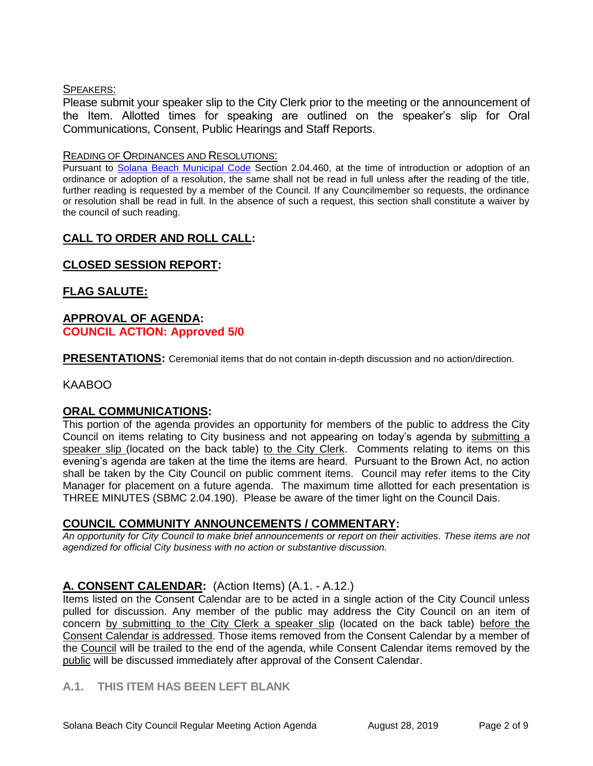#### SPEAKERS:

Please submit your speaker slip to the City Clerk prior to the meeting or the announcement of the Item. Allotted times for speaking are outlined on the speaker's slip for Oral Communications, Consent, Public Hearings and Staff Reports.

#### READING OF ORDINANCES AND RESOLUTIONS:

Pursuant to [Solana Beach Municipal Code](mailto:https://www.codepublishing.com/CA/SolanaBeach/) Section 2.04.460, at the time of introduction or adoption of an ordinance or adoption of a resolution, the same shall not be read in full unless after the reading of the title, further reading is requested by a member of the Council. If any Councilmember so requests, the ordinance or resolution shall be read in full. In the absence of such a request, this section shall constitute a waiver by the council of such reading.

# **CALL TO ORDER AND ROLL CALL:**

# **CLOSED SESSION REPORT:**

# **FLAG SALUTE:**

## **APPROVAL OF AGENDA: COUNCIL ACTION: Approved 5/0**

**PRESENTATIONS:** Ceremonial items that do not contain in-depth discussion and no action/direction.

## KAABOO

## **ORAL COMMUNICATIONS:**

This portion of the agenda provides an opportunity for members of the public to address the City Council on items relating to City business and not appearing on today's agenda by submitting a speaker slip (located on the back table) to the City Clerk. Comments relating to items on this evening's agenda are taken at the time the items are heard. Pursuant to the Brown Act, no action shall be taken by the City Council on public comment items. Council may refer items to the City Manager for placement on a future agenda. The maximum time allotted for each presentation is THREE MINUTES (SBMC 2.04.190). Please be aware of the timer light on the Council Dais.

## **COUNCIL COMMUNITY ANNOUNCEMENTS / COMMENTARY:**

*An opportunity for City Council to make brief announcements or report on their activities. These items are not agendized for official City business with no action or substantive discussion.* 

## **A. CONSENT CALENDAR:** (Action Items) (A.1. - A.12.)

Items listed on the Consent Calendar are to be acted in a single action of the City Council unless pulled for discussion. Any member of the public may address the City Council on an item of concern by submitting to the City Clerk a speaker slip (located on the back table) before the Consent Calendar is addressed. Those items removed from the Consent Calendar by a member of the Council will be trailed to the end of the agenda, while Consent Calendar items removed by the public will be discussed immediately after approval of the Consent Calendar.

# **A.1. THIS ITEM HAS BEEN LEFT BLANK**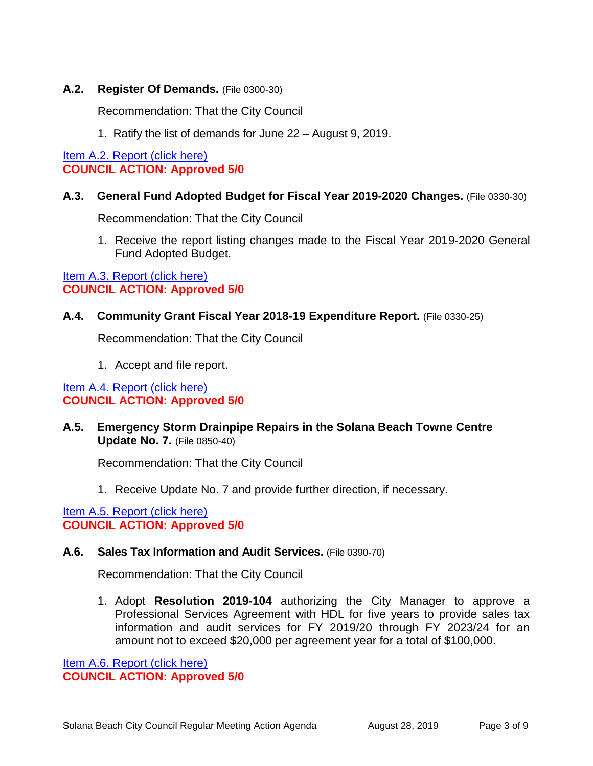### **A.2. Register Of Demands.** (File 0300-30)

Recommendation: That the City Council

1. Ratify the list of demands for June 22 – August 9, 2019.

[Item A.2. Report \(click here\)](https://solanabeach.govoffice3.com/vertical/Sites/%7B840804C2-F869-4904-9AE3-720581350CE7%7D/uploads/Item_A.2._Report_(click_here)_08-28-19_-_O.pdf)  **COUNCIL ACTION: Approved 5/0**

#### **A.3. General Fund Adopted Budget for Fiscal Year 2019-2020 Changes.** (File 0330-30)

Recommendation: That the City Council

1. Receive the report listing changes made to the Fiscal Year 2019-2020 General Fund Adopted Budget.

Item A.3. Report (click here) **COUNCIL ACTION: Approved 5/0**

#### **A.4. Community Grant Fiscal Year 2018-19 Expenditure Report.** (File 0330-25)

Recommendation: That the City Council

1. Accept and file report.

#### [Item A.4. Report \(click here\)](https://solanabeach.govoffice3.com/vertical/Sites/%7B840804C2-F869-4904-9AE3-720581350CE7%7D/uploads/Item_A.4._Report_(click_here)_08-28-19_-_O.pdf)  **COUNCIL ACTION: Approved 5/0**

**A.5. Emergency Storm Drainpipe Repairs in the Solana Beach Towne Centre Update No. 7.** (File 0850-40)

Recommendation: That the City Council

1. Receive Update No. 7 and provide further direction, if necessary.

[Item A.5. Report \(click here\)](https://solanabeach.govoffice3.com/vertical/Sites/%7B840804C2-F869-4904-9AE3-720581350CE7%7D/uploads/Item_A.5._Report_(click_here)_08-28-19_-_O.pdf)  **COUNCIL ACTION: Approved 5/0**

#### **A.6. Sales Tax Information and Audit Services.** (File 0390-70)

Recommendation: That the City Council

1. Adopt **Resolution 2019-104** authorizing the City Manager to approve a Professional Services Agreement with HDL for five years to provide sales tax information and audit services for FY 2019/20 through FY 2023/24 for an amount not to exceed \$20,000 per agreement year for a total of \$100,000.

[Item A.6. Report \(click here\)](https://solanabeach.govoffice3.com/vertical/Sites/%7B840804C2-F869-4904-9AE3-720581350CE7%7D/uploads/Item_A.6._Report_(click_here)_08-28-19_-_O.pdf)  **COUNCIL ACTION: Approved 5/0**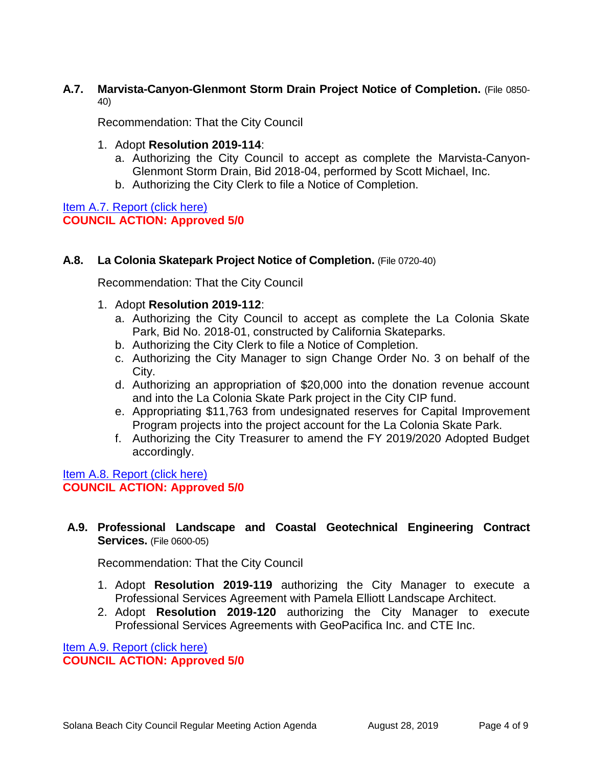#### **A.7. Marvista-Canyon-Glenmont Storm Drain Project Notice of Completion.** (File 0850- 40)

Recommendation: That the City Council

- 1. Adopt **Resolution 2019-114**:
	- a. Authorizing the City Council to accept as complete the Marvista-Canyon-Glenmont Storm Drain, Bid 2018-04, performed by Scott Michael, Inc.
	- b. Authorizing the City Clerk to file a Notice of Completion.

Item A.7. Report (click here) **COUNCIL ACTION: Approved 5/0**

## **A.8. La Colonia Skatepark Project Notice of Completion.** (File 0720-40)

Recommendation: That the City Council

- 1. Adopt **Resolution 2019-112**:
	- a. Authorizing the City Council to accept as complete the La Colonia Skate Park, Bid No. 2018-01, constructed by California Skateparks.
	- b. Authorizing the City Clerk to file a Notice of Completion.
	- c. Authorizing the City Manager to sign Change Order No. 3 on behalf of the City.
	- d. Authorizing an appropriation of \$20,000 into the donation revenue account and into the La Colonia Skate Park project in the City CIP fund.
	- e. Appropriating \$11,763 from undesignated reserves for Capital Improvement Program projects into the project account for the La Colonia Skate Park.
	- f. Authorizing the City Treasurer to amend the FY 2019/2020 Adopted Budget accordingly.

[Item A.8. Report \(click here\)](https://solanabeach.govoffice3.com/vertical/Sites/%7B840804C2-F869-4904-9AE3-720581350CE7%7D/uploads/Item_A.8._Report_(click_here)_08-28-19_-_O.pdf)  **COUNCIL ACTION: Approved 5/0**

# **A.9. Professional Landscape and Coastal Geotechnical Engineering Contract Services.** (File 0600-05)

Recommendation: That the City Council

- 1. Adopt **Resolution 2019-119** authorizing the City Manager to execute a Professional Services Agreement with Pamela Elliott Landscape Architect.
- 2. Adopt **Resolution 2019-120** authorizing the City Manager to execute Professional Services Agreements with GeoPacifica Inc. and CTE Inc.

[Item A.9. Report \(click here\)](https://solanabeach.govoffice3.com/vertical/Sites/%7B840804C2-F869-4904-9AE3-720581350CE7%7D/uploads/Item_A.9._Report_(click_here)_08-28-19_-_O.pdf)  **COUNCIL ACTION: Approved 5/0**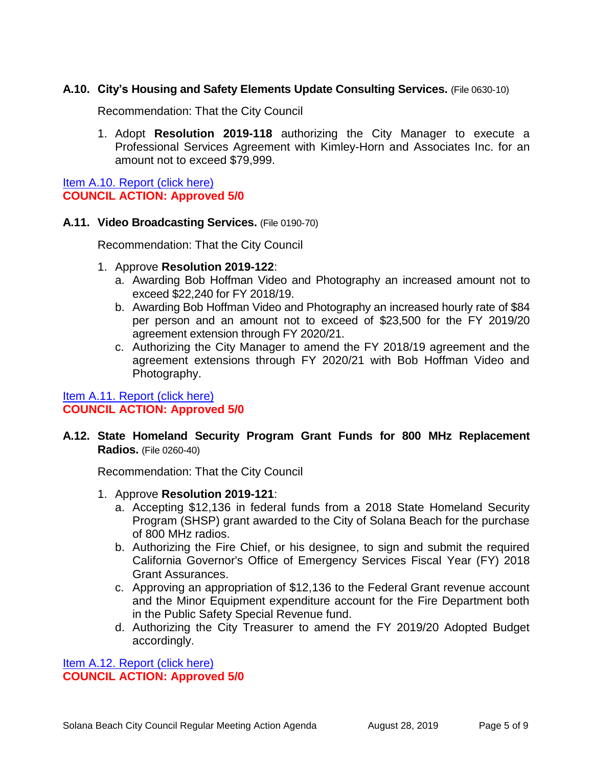## **A.10. City's Housing and Safety Elements Update Consulting Services.** (File 0630-10)

Recommendation: That the City Council

1. Adopt **Resolution 2019-118** authorizing the City Manager to execute a Professional Services Agreement with Kimley-Horn and Associates Inc. for an amount not to exceed \$79,999.

[Item A.10. Report \(click here\)](https://solanabeach.govoffice3.com/vertical/Sites/%7B840804C2-F869-4904-9AE3-720581350CE7%7D/uploads/Item_A.10._Report_(click_here)_08-28-19_-_O.pdf)  **COUNCIL ACTION: Approved 5/0**

#### **A.11. Video Broadcasting Services.** (File 0190-70)

Recommendation: That the City Council

- 1. Approve **Resolution 2019-122**:
	- a. Awarding Bob Hoffman Video and Photography an increased amount not to exceed \$22,240 for FY 2018/19.
	- b. Awarding Bob Hoffman Video and Photography an increased hourly rate of \$84 per person and an amount not to exceed of \$23,500 for the FY 2019/20 agreement extension through FY 2020/21.
	- c. Authorizing the City Manager to amend the FY 2018/19 agreement and the agreement extensions through FY 2020/21 with Bob Hoffman Video and Photography.

# [Item A.11. Report](https://solanabeach.govoffice3.com/vertical/Sites/%7B840804C2-F869-4904-9AE3-720581350CE7%7D/uploads/Item_A.11._Report_(click_here)_08-28-19_-_O.pdf) (click here) **COUNCIL ACTION: Approved 5/0**

**A.12. State Homeland Security Program Grant Funds for 800 MHz Replacement Radios.** (File 0260-40)

Recommendation: That the City Council

- 1. Approve **Resolution 2019-121**:
	- a. Accepting \$12,136 in federal funds from a 2018 State Homeland Security Program (SHSP) grant awarded to the City of Solana Beach for the purchase of 800 MHz radios.
	- b. Authorizing the Fire Chief, or his designee, to sign and submit the required California Governor's Office of Emergency Services Fiscal Year (FY) 2018 Grant Assurances.
	- c. Approving an appropriation of \$12,136 to the Federal Grant revenue account and the Minor Equipment expenditure account for the Fire Department both in the Public Safety Special Revenue fund.
	- d. Authorizing the City Treasurer to amend the FY 2019/20 Adopted Budget accordingly.

Item A.12. Report (click here) **COUNCIL ACTION: Approved 5/0**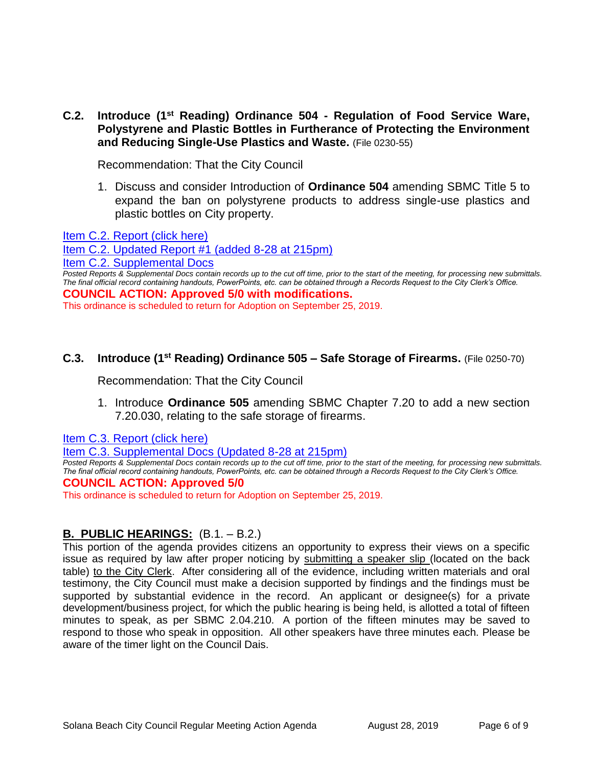**C.2. Introduce (1 st Reading) Ordinance 504 - Regulation of Food Service Ware, Polystyrene and Plastic Bottles in Furtherance of Protecting the Environment and Reducing Single-Use Plastics and Waste.** (File 0230-55)

Recommendation: That the City Council

1. Discuss and consider Introduction of **Ordinance 504** amending SBMC Title 5 to expand the ban on polystyrene products to address single-use plastics and plastic bottles on City property.

[Item C.2. Report \(click here\)](https://solanabeach.govoffice3.com/vertical/Sites/%7B840804C2-F869-4904-9AE3-720581350CE7%7D/uploads/Item_C.2._Report_(click_here)_08-28-19_-_O.pdf) 

[Item C.2. Updated Report #1 \(added 8-28 at 215pm\)](https://solanabeach.govoffice3.com/vertical/Sites/%7B840804C2-F869-4904-9AE3-720581350CE7%7D/uploads/Item_C.2._Updated_Report_1_(upd._8-28_at_140pm)_-_O.pdf)

[Item C.2. Supplemental Docs](https://solanabeach.govoffice3.com/vertical/Sites/%7B840804C2-F869-4904-9AE3-720581350CE7%7D/uploads/Item_C.2._Supplemental_Docs_(Upd._9-3_at_845am)_-_O.pdf)

*Posted Reports & Supplemental Docs contain records up to the cut off time, prior to the start of the meeting, for processing new submittals. The final official record containing handouts, PowerPoints, etc. can be obtained through a Records Request to the City Clerk's Office.* **COUNCIL ACTION: Approved 5/0 with modifications.** 

This ordinance is scheduled to return for Adoption on September 25, 2019.

### **C.3. Introduce (1 st Reading) Ordinance 505 – Safe Storage of Firearms.** (File 0250-70)

Recommendation: That the City Council

1. Introduce **Ordinance 505** amending SBMC Chapter 7.20 to add a new section 7.20.030, relating to the safe storage of firearms.

[Item C.3. Report \(click here\)](https://solanabeach.govoffice3.com/vertical/Sites/%7B840804C2-F869-4904-9AE3-720581350CE7%7D/uploads/Item_C.3._Report_(click_here)_08-28-19_-_O.pdf) 

[Item C.3. Supplemental Docs \(Updated 8-28 at 215pm\)](https://solanabeach.govoffice3.com/vertical/Sites/%7B840804C2-F869-4904-9AE3-720581350CE7%7D/uploads/Item_C.3._Supplemental_Docs_(Upd._8-28_-_2pm)_-_O.pdf)

**Posted Reports & Supplemental Docs contain records up to the cut off time, prior to the start of the meeting, for processing new submittals.** *The final official record containing handouts, PowerPoints, etc. can be obtained through a Records Request to the City Clerk's Office.* **COUNCIL ACTION: Approved 5/0**

This ordinance is scheduled to return for Adoption on September 25, 2019.

## **B. PUBLIC HEARINGS:** (B.1. – B.2.)

This portion of the agenda provides citizens an opportunity to express their views on a specific issue as required by law after proper noticing by submitting a speaker slip (located on the back table) to the City Clerk. After considering all of the evidence, including written materials and oral testimony, the City Council must make a decision supported by findings and the findings must be supported by substantial evidence in the record. An applicant or designee(s) for a private development/business project, for which the public hearing is being held, is allotted a total of fifteen minutes to speak, as per SBMC 2.04.210. A portion of the fifteen minutes may be saved to respond to those who speak in opposition. All other speakers have three minutes each. Please be aware of the timer light on the Council Dais.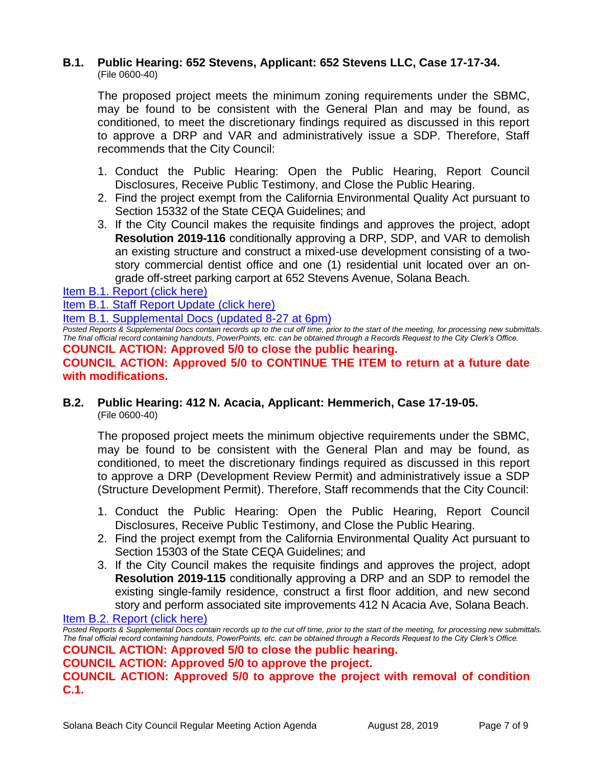#### **B.1. Public Hearing: 652 Stevens, Applicant: 652 Stevens LLC, Case 17-17-34.** (File 0600-40)

The proposed project meets the minimum zoning requirements under the SBMC, may be found to be consistent with the General Plan and may be found, as conditioned, to meet the discretionary findings required as discussed in this report to approve a DRP and VAR and administratively issue a SDP. Therefore, Staff recommends that the City Council:

- 1. Conduct the Public Hearing: Open the Public Hearing, Report Council Disclosures, Receive Public Testimony, and Close the Public Hearing.
- 2. Find the project exempt from the California Environmental Quality Act pursuant to Section 15332 of the State CEQA Guidelines; and
- 3. If the City Council makes the requisite findings and approves the project, adopt **Resolution 2019-116** conditionally approving a DRP, SDP, and VAR to demolish an existing structure and construct a mixed-use development consisting of a twostory commercial dentist office and one (1) residential unit located over an ongrade off-street parking carport at 652 Stevens Avenue, Solana Beach.

[Item B.1. Report \(click here\)](https://solanabeach.govoffice3.com/vertical/Sites/%7B840804C2-F869-4904-9AE3-720581350CE7%7D/uploads/Item_B.1._Report_(click_here)_08-28-19_-_O.pdf) 

[Item B.1. Staff Report Update \(click here\)](https://solanabeach.govoffice3.com/vertical/Sites/%7B840804C2-F869-4904-9AE3-720581350CE7%7D/uploads/B.1._Staff_Report_Update_1_(2).pdf) 

[Item B.1. Supplemental Docs \(updated 8-27 at 6pm\)](https://solanabeach.govoffice3.com/vertical/Sites/%7B840804C2-F869-4904-9AE3-720581350CE7%7D/uploads/Item_B.1._Supplemental_Docs_(Upd_8-27_at_1230pm).pdf)

*Posted Reports & Supplemental Docs contain records up to the cut off time, prior to the start of the meeting, for processing new submittals. The final official record containing handouts, PowerPoints, etc. can be obtained through a Records Request to the City Clerk's Office.*

**COUNCIL ACTION: Approved 5/0 to close the public hearing.**

#### **COUNCIL ACTION: Approved 5/0 to CONTINUE THE ITEM to return at a future date with modifications.**

## **B.2. Public Hearing: 412 N. Acacia, Applicant: Hemmerich, Case 17-19-05.** (File 0600-40)

The proposed project meets the minimum objective requirements under the SBMC, may be found to be consistent with the General Plan and may be found, as conditioned, to meet the discretionary findings required as discussed in this report to approve a DRP (Development Review Permit) and administratively issue a SDP (Structure Development Permit). Therefore, Staff recommends that the City Council:

- 1. Conduct the Public Hearing: Open the Public Hearing, Report Council Disclosures, Receive Public Testimony, and Close the Public Hearing.
- 2. Find the project exempt from the California Environmental Quality Act pursuant to Section 15303 of the State CEQA Guidelines; and
- 3. If the City Council makes the requisite findings and approves the project, adopt **Resolution 2019-115** conditionally approving a DRP and an SDP to remodel the existing single-family residence, construct a first floor addition, and new second story and perform associated site improvements 412 N Acacia Ave, Solana Beach.

[Item B.2. Report \(click here\)](https://solanabeach.govoffice3.com/vertical/Sites/%7B840804C2-F869-4904-9AE3-720581350CE7%7D/uploads/Item_B.2._Report_(click_here)_08-28-19_-_O.pdf)

*Posted Reports & Supplemental Docs contain records up to the cut off time, prior to the start of the meeting, for processing new submittals. The final official record containing handouts, PowerPoints, etc. can be obtained through a Records Request to the City Clerk's Office.* **COUNCIL ACTION: Approved 5/0 to close the public hearing.**

**COUNCIL ACTION: Approved 5/0 to approve the project.** 

**COUNCIL ACTION: Approved 5/0 to approve the project with removal of condition C.1.**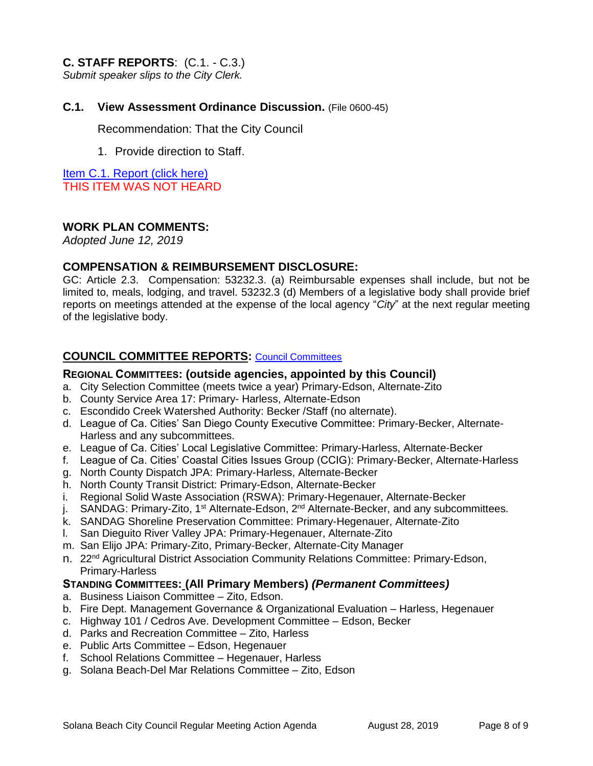### **C. STAFF REPORTS**: (C.1. - C.3.)

*Submit speaker slips to the City Clerk.*

#### **C.1. View Assessment Ordinance Discussion.** (File 0600-45)

Recommendation: That the City Council

1. Provide direction to Staff.

Item C.1. Report (click here) THIS ITEM WAS NOT HEARD

#### **WORK PLAN COMMENTS:**

*Adopted June 12, 2019*

#### **COMPENSATION & REIMBURSEMENT DISCLOSURE:**

GC: Article 2.3. Compensation: 53232.3. (a) Reimbursable expenses shall include, but not be limited to, meals, lodging, and travel. 53232.3 (d) Members of a legislative body shall provide brief reports on meetings attended at the expense of the local agency "*City*" at the next regular meeting of the legislative body.

#### **COUNCIL COMMITTEE REPORTS:** [Council Committees](https://www.ci.solana-beach.ca.us/index.asp?SEC=584E1192-3850-46EA-B977-088AC3E81E0D&Type=B_BASIC)

#### **REGIONAL COMMITTEES: (outside agencies, appointed by this Council)**

- a. City Selection Committee (meets twice a year) Primary-Edson, Alternate-Zito
- b. County Service Area 17: Primary- Harless, Alternate-Edson
- c. Escondido Creek Watershed Authority: Becker /Staff (no alternate).
- d. League of Ca. Cities' San Diego County Executive Committee: Primary-Becker, Alternate-Harless and any subcommittees.
- e. League of Ca. Cities' Local Legislative Committee: Primary-Harless, Alternate-Becker
- f. League of Ca. Cities' Coastal Cities Issues Group (CCIG): Primary-Becker, Alternate-Harless
- g. North County Dispatch JPA: Primary-Harless, Alternate-Becker
- h. North County Transit District: Primary-Edson, Alternate-Becker
- i. Regional Solid Waste Association (RSWA): Primary-Hegenauer, Alternate-Becker
- j. SANDAG: Primary-Zito, 1<sup>st</sup> Alternate-Edson, 2<sup>nd</sup> Alternate-Becker, and any subcommittees.
- k. SANDAG Shoreline Preservation Committee: Primary-Hegenauer, Alternate-Zito
- l. San Dieguito River Valley JPA: Primary-Hegenauer, Alternate-Zito
- m. San Elijo JPA: Primary-Zito, Primary-Becker, Alternate-City Manager
- n. 22<sup>nd</sup> Agricultural District Association Community Relations Committee: Primary-Edson, Primary-Harless

#### **STANDING COMMITTEES: (All Primary Members)** *(Permanent Committees)*

- a. Business Liaison Committee Zito, Edson.
- b. Fire Dept. Management Governance & Organizational Evaluation Harless, Hegenauer
- c. Highway 101 / Cedros Ave. Development Committee Edson, Becker
- d. Parks and Recreation Committee Zito, Harless
- e. Public Arts Committee Edson, Hegenauer
- f. School Relations Committee Hegenauer, Harless
- g. Solana Beach-Del Mar Relations Committee Zito, Edson